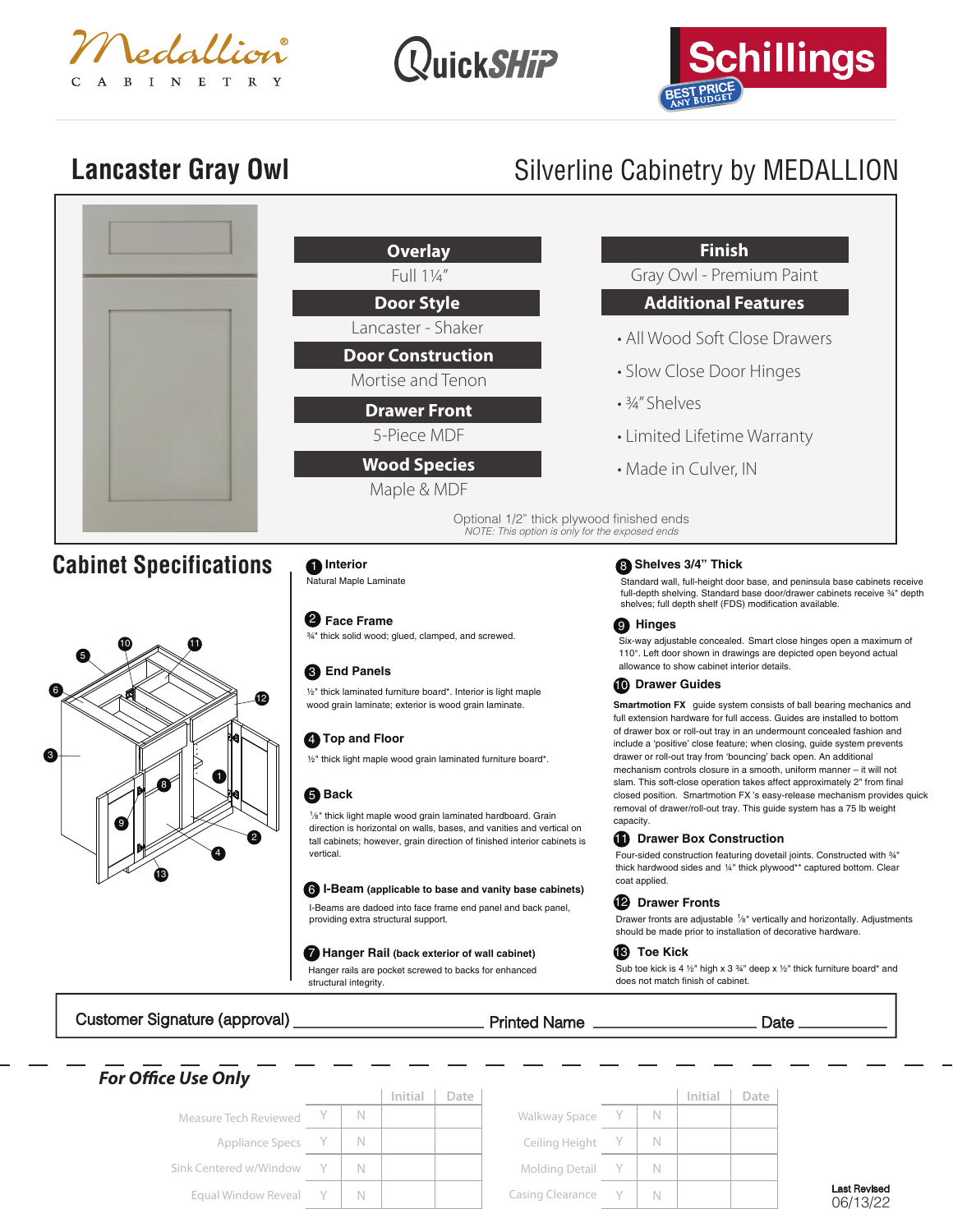





Last Revised 06/13/22

Г

## Lancaster Gray Owl<br>
Silverline Cabinetry by MEDALLION

| Customer Signature (approval) | <b>EXAMPLE 2014</b> Printed Name __                                                                                                                                                                               | Date $\overline{\phantom{a}}$                                                                                                                                                                                        |  |  |  |
|-------------------------------|-------------------------------------------------------------------------------------------------------------------------------------------------------------------------------------------------------------------|----------------------------------------------------------------------------------------------------------------------------------------------------------------------------------------------------------------------|--|--|--|
|                               | Hanger Rail (back exterior of wall cabinet)<br>Hanger rails are pocket screwed to backs for enhanced<br>structural integrity.                                                                                     | <b>iB</b> Toe Kick<br>Sub toe kick is 4 $\frac{1}{2}$ " high x 3 $\frac{3}{4}$ " deep x $\frac{1}{2}$ " thick furniture board* and<br>does not match finish of cabinet.                                              |  |  |  |
|                               | I-Beams are dadoed into face frame end panel and back panel,<br>providing extra structural support.                                                                                                               | <b>12</b> Drawer Fronts<br>Drawer fronts are adjustable 1/8" vertically and horizontally. Adjustments<br>should be made prior to installation of decorative hardware.                                                |  |  |  |
| 12<br>Œ<br>(8)<br>9<br>2      | vertical.<br>6 I-Beam (applicable to base and vanity base cabinets)                                                                                                                                               | Four-sided construction featuring dovetail joints. Constructed with 34"<br>thick hardwood sides and 1/4" thick plywood** captured bottom. Clear<br>coat applied.                                                     |  |  |  |
|                               | 1/8" thick light maple wood grain laminated hardboard. Grain<br>direction is horizontal on walls, bases, and vanities and vertical on<br>tall cabinets; however, grain direction of finished interior cabinets is | closed position. Smartmotion FX's easy-release mechanism provides quick<br>removal of drawer/roll-out tray. This guide system has a 75 lb weight<br>capacity.<br><b>6</b> Drawer Box Construction                    |  |  |  |
|                               | 1/2" thick light maple wood grain laminated furniture board*.<br><b>6</b> Back                                                                                                                                    | drawer or roll-out tray from 'bouncing' back open. An additional<br>mechanism controls closure in a smooth, uniform manner - it will not<br>slam. This soft-close operation takes affect approximately 2" from final |  |  |  |
|                               | <b>4</b> Top and Floor                                                                                                                                                                                            | of drawer box or roll-out tray in an undermount concealed fashion and<br>include a 'positive' close feature; when closing, guide system prevents                                                                     |  |  |  |
|                               | 1/2" thick laminated furniture board*. Interior is light maple<br>wood grain laminate; exterior is wood grain laminate.                                                                                           | <b>Smartmotion FX</b> guide system consists of ball bearing mechanics and<br>full extension hardware for full access. Guides are installed to bottom                                                                 |  |  |  |
|                               | <b>8</b> End Panels                                                                                                                                                                                               | allowance to show cabinet interior details.<br><b>10</b> Drawer Guides                                                                                                                                               |  |  |  |
| Œ                             | <b>2</b> Face Frame<br>34" thick solid wood; glued, clamped, and screwed.                                                                                                                                         | <b>O</b> Hinges<br>Six-way adjustable concealed. Smart close hinges open a maximum of<br>110°. Left door shown in drawings are depicted open beyond actual                                                           |  |  |  |
|                               |                                                                                                                                                                                                                   | full-depth shelving. Standard base door/drawer cabinets receive 34" depth<br>shelves; full depth shelf (FDS) modification available.                                                                                 |  |  |  |
| <b>Cabinet Specifications</b> | <b>O</b> Interior<br>Natural Maple Laminate                                                                                                                                                                       | <b>B</b> Shelves 3/4" Thick<br>Standard wall, full-height door base, and peninsula base cabinets receive                                                                                                             |  |  |  |
|                               | Optional 1/2" thick plywood finished ends<br>NOTE: This option is only for the exposed ends                                                                                                                       |                                                                                                                                                                                                                      |  |  |  |
|                               | Maple & MDF                                                                                                                                                                                                       |                                                                                                                                                                                                                      |  |  |  |
|                               | <b>Wood Species</b>                                                                                                                                                                                               | • Limited Lifetime Warranty<br>• Made in Culver, IN                                                                                                                                                                  |  |  |  |
|                               | <b>Drawer Front</b><br>5-Piece MDF                                                                                                                                                                                |                                                                                                                                                                                                                      |  |  |  |
|                               | Mortise and Tenon                                                                                                                                                                                                 | • Slow Close Door Hinges<br>$.34''$ Shelves                                                                                                                                                                          |  |  |  |
|                               | <b>Door Construction</b>                                                                                                                                                                                          |                                                                                                                                                                                                                      |  |  |  |
|                               | Lancaster - Shaker                                                                                                                                                                                                | • All Wood Soft Close Drawers                                                                                                                                                                                        |  |  |  |
|                               | Door Style                                                                                                                                                                                                        | <b>Additional Features</b>                                                                                                                                                                                           |  |  |  |
|                               | <b>Overlay</b><br>Full 11/4"                                                                                                                                                                                      | <b>Finish</b><br>Gray Owl - Premium Paint                                                                                                                                                                            |  |  |  |

|                          |  | Initial | Date |                         |   | Initial | Date |
|--------------------------|--|---------|------|-------------------------|---|---------|------|
| Measure Tech Reviewed    |  |         |      | Walkway Space           |   |         |      |
| Appliance Specs Y        |  |         |      | Ceiling Height Y        |   |         |      |
| Sink Centered w/Window Y |  |         |      | Molding Detail Y        |   |         |      |
| Equal Window Reveal Y    |  |         |      | <b>Casing Clearance</b> | N |         |      |